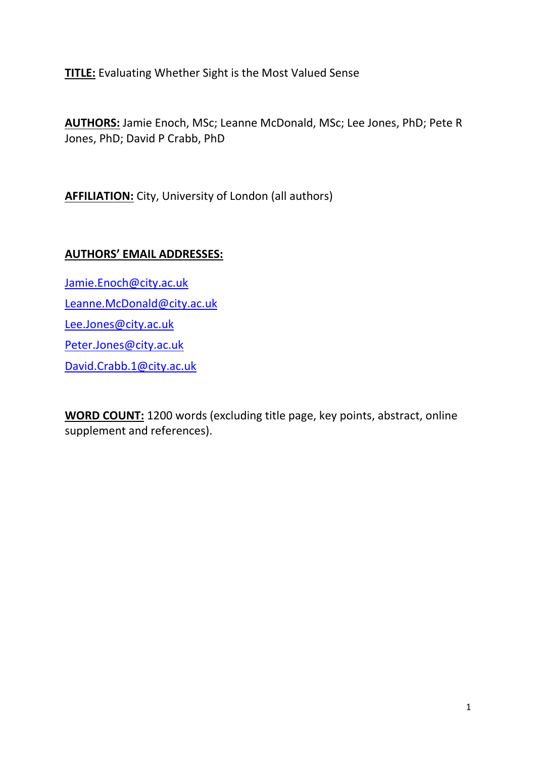**TITLE:** Evaluating Whether Sight is the Most Valued Sense

**AUTHORS:** Jamie Enoch, MSc; Leanne McDonald, MSc; Lee Jones, PhD; Pete R Jones, PhD; David P Crabb, PhD

**AFFILIATION:** City, University of London (all authors)

# **AUTHORS' EMAIL ADDRESSES:**

[Jamie.Enoch@city.ac.uk](mailto:Jamie.Enoch@city.ac.uk) [Leanne.McDonald@city.ac.uk](mailto:Leanne.McDonald@city.ac.uk) [Lee.Jones@city.ac.uk](mailto:Lee.Jones@city.ac.uk) [Peter.Jones@city.ac.uk](mailto:Peter.Jones@city.ac.uk) [David.Crabb.1@city.ac.uk](mailto:David.Crabb.1@city.ac.uk)

**WORD COUNT:** 1200 words (excluding title page, key points, abstract, online supplement and references).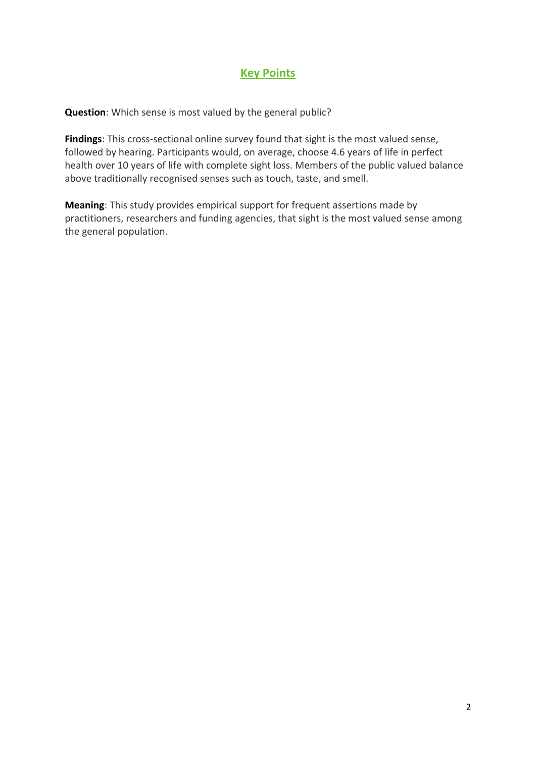## **Key Points**

**Question**: Which sense is most valued by the general public?

**Findings**: This cross-sectional online survey found that sight is the most valued sense, followed by hearing. Participants would, on average, choose 4.6 years of life in perfect health over 10 years of life with complete sight loss. Members of the public valued balance above traditionally recognised senses such as touch, taste, and smell.

**Meaning**: This study provides empirical support for frequent assertions made by practitioners, researchers and funding agencies, that sight is the most valued sense among the general population.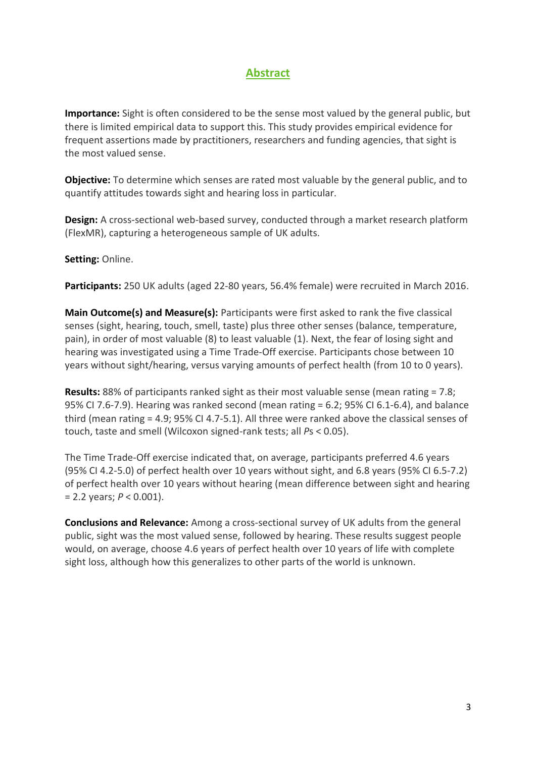# **Abstract**

**Importance:** Sight is often considered to be the sense most valued by the general public, but there is limited empirical data to support this. This study provides empirical evidence for frequent assertions made by practitioners, researchers and funding agencies, that sight is the most valued sense.

**Objective:** To determine which senses are rated most valuable by the general public, and to quantify attitudes towards sight and hearing loss in particular.

**Design:** A cross-sectional web-based survey, conducted through a market research platform (FlexMR), capturing a heterogeneous sample of UK adults.

**Setting:** Online.

**Participants:** 250 UK adults (aged 22-80 years, 56.4% female) were recruited in March 2016.

**Main Outcome(s) and Measure(s):** Participants were first asked to rank the five classical senses (sight, hearing, touch, smell, taste) plus three other senses (balance, temperature, pain), in order of most valuable (8) to least valuable (1). Next, the fear of losing sight and hearing was investigated using a Time Trade-Off exercise. Participants chose between 10 years without sight/hearing, versus varying amounts of perfect health (from 10 to 0 years).

**Results:** 88% of participants ranked sight as their most valuable sense (mean rating = 7.8; 95% CI 7.6-7.9). Hearing was ranked second (mean rating = 6.2; 95% CI 6.1-6.4), and balance third (mean rating = 4.9; 95% CI 4.7-5.1). All three were ranked above the classical senses of touch, taste and smell (Wilcoxon signed-rank tests; all *P*s < 0.05).

The Time Trade-Off exercise indicated that, on average, participants preferred 4.6 years (95% CI 4.2-5.0) of perfect health over 10 years without sight, and 6.8 years (95% CI 6.5-7.2) of perfect health over 10 years without hearing (mean difference between sight and hearing = 2.2 years; *P* < 0.001).

**Conclusions and Relevance:** Among a cross-sectional survey of UK adults from the general public, sight was the most valued sense, followed by hearing. These results suggest people would, on average, choose 4.6 years of perfect health over 10 years of life with complete sight loss, although how this generalizes to other parts of the world is unknown.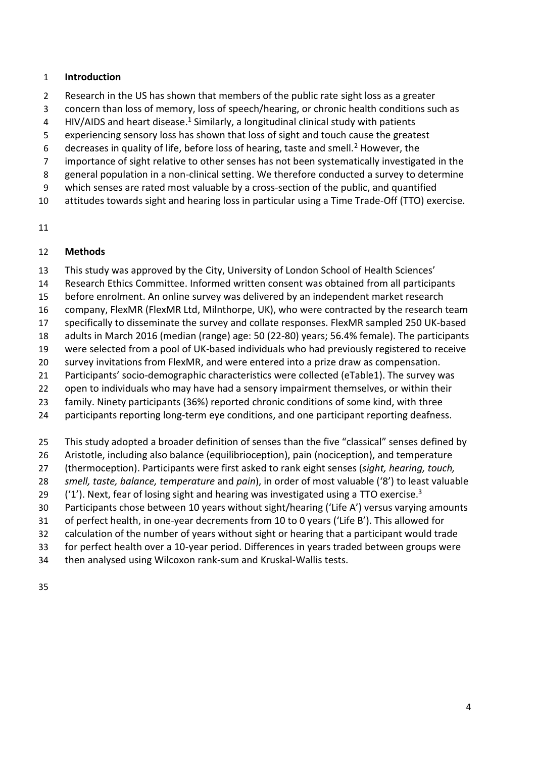### **Introduction**

- Research in the US has shown that members of the public rate sight loss as a greater
- concern than loss of memory, loss of speech/hearing, or chronic health conditions such as
- 4 HIV/AIDS and heart disease.<sup>1</sup> Similarly, a longitudinal clinical study with patients
- experiencing sensory loss has shown that loss of sight and touch cause the greatest
- 6 decreases in quality of life, before loss of hearing, taste and smell. $<sup>2</sup>$  However, the</sup>
- 7 importance of sight relative to other senses has not been systematically investigated in the
- general population in a non-clinical setting. We therefore conducted a survey to determine
- which senses are rated most valuable by a cross-section of the public, and quantified
- attitudes towards sight and hearing loss in particular using a Time Trade-Off (TTO) exercise.
- 

## **Methods**

- This study was approved by the City, University of London School of Health Sciences'
- Research Ethics Committee. Informed written consent was obtained from all participants
- before enrolment. An online survey was delivered by an independent market research
- company, FlexMR (FlexMR Ltd, Milnthorpe, UK), who were contracted by the research team
- specifically to disseminate the survey and collate responses. FlexMR sampled 250 UK-based
- adults in March 2016 (median (range) age: 50 (22-80) years; 56.4% female). The participants
- were selected from a pool of UK-based individuals who had previously registered to receive
- survey invitations from FlexMR, and were entered into a prize draw as compensation.
- Participants' socio-demographic characteristics were collected (eTable1). The survey was
- open to individuals who may have had a sensory impairment themselves, or within their
- family. Ninety participants (36%) reported chronic conditions of some kind, with three
- 24 participants reporting long-term eye conditions, and one participant reporting deafness.
- This study adopted a broader definition of senses than the five "classical" senses defined by
- Aristotle, including also balance (equilibrioception), pain (nociception), and temperature
- (thermoception). Participants were first asked to rank eight senses (*sight, hearing, touch,*
- *smell, taste, balance, temperature* and *pain*), in order of most valuable ('8') to least valuable
- 29  $(1')$ . Next, fear of losing sight and hearing was investigated using a TTO exercise.<sup>3</sup>
- Participants chose between 10 years without sight/hearing ('Life A') versus varying amounts
- of perfect health, in one-year decrements from 10 to 0 years ('Life B'). This allowed for
- calculation of the number of years without sight or hearing that a participant would trade
- for perfect health over a 10-year period. Differences in years traded between groups were
- then analysed using Wilcoxon rank-sum and Kruskal-Wallis tests.
-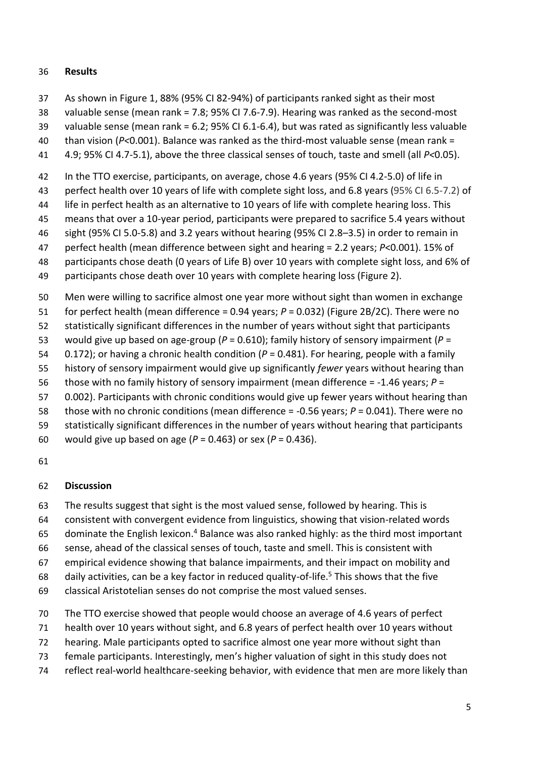#### **Results**

- As shown in Figure 1, 88% (95% CI 82-94%) of participants ranked sight as their most
- valuable sense (mean rank = 7.8; 95% CI 7.6-7.9). Hearing was ranked as the second-most
- valuable sense (mean rank = 6.2; 95% CI 6.1-6.4), but was rated as significantly less valuable
- than vision (*P<*0.001). Balance was ranked as the third-most valuable sense (mean rank =
- 4.9; 95% CI 4.7-5.1), above the three classical senses of touch, taste and smell (all *P<*0.05).
- In the TTO exercise, participants, on average, chose 4.6 years (95% CI 4.2-5.0) of life in
- perfect health over 10 years of life with complete sight loss, and 6.8 years (95% CI 6.5-7.2) of
- 44 life in perfect health as an alternative to 10 years of life with complete hearing loss. This
- means that over a 10-year period, participants were prepared to sacrifice 5.4 years without
- sight (95% CI 5.0-5.8) and 3.2 years without hearing (95% CI 2.8–3.5) in order to remain in
- perfect health (mean difference between sight and hearing = 2.2 years; *P*<0.001). 15% of
- participants chose death (0 years of Life B) over 10 years with complete sight loss, and 6% of
- participants chose death over 10 years with complete hearing loss (Figure 2).
- Men were willing to sacrifice almost one year more without sight than women in exchange
- for perfect health (mean difference = 0.94 years; *P* = 0.032) (Figure 2B/2C). There were no
- statistically significant differences in the number of years without sight that participants
- would give up based on age-group (*P* = 0.610); family history of sensory impairment (*P* =
- 0.172); or having a chronic health condition (*P* = 0.481). For hearing, people with a family
- history of sensory impairment would give up significantly *fewer* years without hearing than
- those with no family history of sensory impairment (mean difference = -1.46 years; *P* =
- 0.002). Participants with chronic conditions would give up fewer years without hearing than
- those with no chronic conditions (mean difference = -0.56 years; *P* = 0.041). There were no
- statistically significant differences in the number of years without hearing that participants
- would give up based on age (*P* = 0.463) or sex (*P* = 0.436).
- 

## **Discussion**

- The results suggest that sight is the most valued sense, followed by hearing. This is
- consistent with convergent evidence from linguistics, showing that vision-related words
- 65 dominate the English lexicon.<sup>4</sup> Balance was also ranked highly: as the third most important
- sense, ahead of the classical senses of touch, taste and smell. This is consistent with
- empirical evidence showing that balance impairments, and their impact on mobility and
- 68 daily activities, can be a key factor in reduced quality-of-life.<sup>5</sup> This shows that the five
- classical Aristotelian senses do not comprise the most valued senses.
- The TTO exercise showed that people would choose an average of 4.6 years of perfect
- health over 10 years without sight, and 6.8 years of perfect health over 10 years without
- hearing. Male participants opted to sacrifice almost one year more without sight than
- female participants. Interestingly, men's higher valuation of sight in this study does not
- reflect real-world healthcare-seeking behavior, with evidence that men are more likely than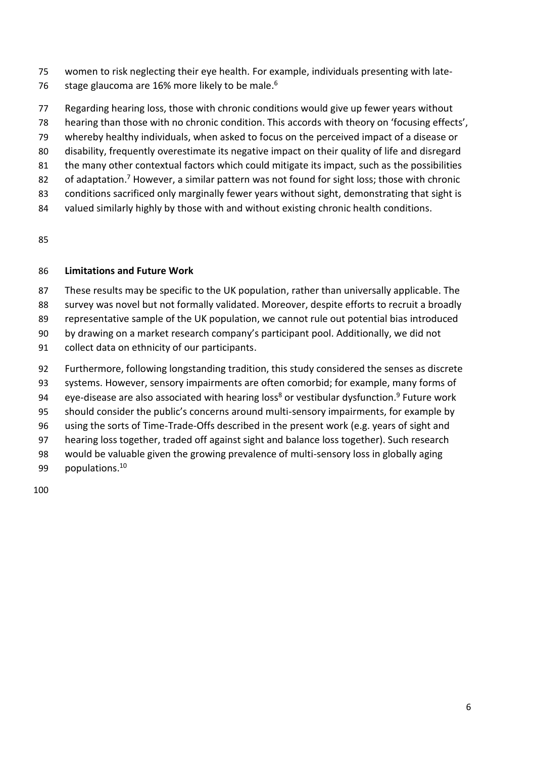- women to risk neglecting their eye health. For example, individuals presenting with late-
- 76 stage glaucoma are 16% more likely to be male.<sup>6</sup>
- Regarding hearing loss, those with chronic conditions would give up fewer years without
- hearing than those with no chronic condition. This accords with theory on 'focusing effects',
- whereby healthy individuals, when asked to focus on the perceived impact of a disease or
- disability, frequently overestimate its negative impact on their quality of life and disregard
- the many other contextual factors which could mitigate its impact, such as the possibilities
- 82 of adaptation.<sup>7</sup> However, a similar pattern was not found for sight loss; those with chronic
- conditions sacrificed only marginally fewer years without sight, demonstrating that sight is
- valued similarly highly by those with and without existing chronic health conditions.

### **Limitations and Future Work**

- These results may be specific to the UK population, rather than universally applicable. The
- survey was novel but not formally validated. Moreover, despite efforts to recruit a broadly
- representative sample of the UK population, we cannot rule out potential bias introduced
- by drawing on a market research company's participant pool. Additionally, we did not
- collect data on ethnicity of our participants.
- Furthermore, following longstanding tradition, this study considered the senses as discrete
- systems. However, sensory impairments are often comorbid; for example, many forms of
- 94 eye-disease are also associated with hearing loss<sup>8</sup> or vestibular dysfunction.<sup>9</sup> Future work
- should consider the public's concerns around multi-sensory impairments, for example by
- using the sorts of Time-Trade-Offs described in the present work (e.g. years of sight and
- hearing loss together, traded off against sight and balance loss together). Such research
- would be valuable given the growing prevalence of multi-sensory loss in globally aging
- 99 populations.<sup>10</sup>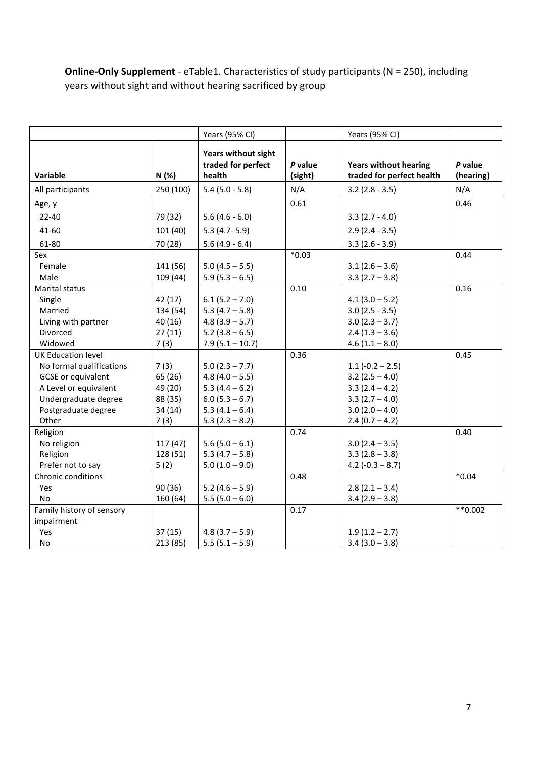**Online-Only Supplement** - eTable1. Characteristics of study participants (N = 250), including years without sight and without hearing sacrificed by group

|                           |           | Years (95% CI)                                      |                    | Years (95% CI)                                            |                      |
|---------------------------|-----------|-----------------------------------------------------|--------------------|-----------------------------------------------------------|----------------------|
| Variable                  | N(%)      | Years without sight<br>traded for perfect<br>health | P value<br>(sight) | <b>Years without hearing</b><br>traded for perfect health | P value<br>(hearing) |
| All participants          | 250 (100) | $5.4$ (5.0 - 5.8)                                   | N/A                | $3.2$ (2.8 - 3.5)                                         | N/A                  |
| Age, y                    |           |                                                     | 0.61               |                                                           | 0.46                 |
| $22 - 40$                 | 79 (32)   | $5.6(4.6 - 6.0)$                                    |                    | $3.3(2.7 - 4.0)$                                          |                      |
| 41-60                     | 101(40)   | $5.3(4.7-5.9)$                                      |                    | $2.9(2.4 - 3.5)$                                          |                      |
| 61-80                     | 70 (28)   | $5.6(4.9 - 6.4)$                                    |                    | $3.3(2.6 - 3.9)$                                          |                      |
| Sex                       |           |                                                     | $*0.03$            |                                                           | 0.44                 |
| Female                    | 141 (56)  | $5.0(4.5 - 5.5)$                                    |                    | $3.1(2.6 - 3.6)$                                          |                      |
| Male                      | 109 (44)  | $5.9(5.3 - 6.5)$                                    |                    | $3.3(2.7 - 3.8)$                                          |                      |
| Marital status            |           |                                                     | 0.10               |                                                           | 0.16                 |
| Single                    | 42 (17)   | $6.1(5.2 - 7.0)$                                    |                    | $4.1(3.0 - 5.2)$                                          |                      |
| Married                   | 134 (54)  | $5.3(4.7 - 5.8)$                                    |                    | $3.0(2.5 - 3.5)$                                          |                      |
| Living with partner       | 40(16)    | $4.8(3.9 - 5.7)$                                    |                    | $3.0(2.3 - 3.7)$                                          |                      |
| Divorced                  | 27(11)    | $5.2(3.8 - 6.5)$                                    |                    | $2.4(1.3 - 3.6)$                                          |                      |
| Widowed                   | 7(3)      | $7.9(5.1 - 10.7)$                                   |                    | $4.6(1.1 - 8.0)$                                          |                      |
| <b>UK Education level</b> |           |                                                     | 0.36               |                                                           | 0.45                 |
| No formal qualifications  | 7(3)      | $5.0(2.3 - 7.7)$                                    |                    | $1.1(-0.2 - 2.5)$                                         |                      |
| <b>GCSE</b> or equivalent | 65 (26)   | $4.8(4.0 - 5.5)$                                    |                    | $3.2(2.5 - 4.0)$                                          |                      |
| A Level or equivalent     | 49 (20)   | $5.3(4.4 - 6.2)$                                    |                    | $3.3(2.4 - 4.2)$                                          |                      |
| Undergraduate degree      | 88 (35)   | $6.0(5.3 - 6.7)$                                    |                    | $3.3(2.7 - 4.0)$                                          |                      |
| Postgraduate degree       | 34(14)    | $5.3(4.1 - 6.4)$                                    |                    | $3.0(2.0 - 4.0)$                                          |                      |
| Other                     | 7(3)      | $5.3(2.3 - 8.2)$                                    |                    | $2.4(0.7 - 4.2)$                                          |                      |
| Religion                  |           |                                                     | 0.74               |                                                           | 0.40                 |
| No religion               | 117(47)   | $5.6(5.0 - 6.1)$                                    |                    | $3.0(2.4 - 3.5)$                                          |                      |
| Religion                  | 128 (51)  | $5.3(4.7 - 5.8)$                                    |                    | $3.3(2.8 - 3.8)$                                          |                      |
| Prefer not to say         | 5(2)      | $5.0(1.0 - 9.0)$                                    |                    | 4.2 $(-0.3 - 8.7)$                                        |                      |
| Chronic conditions        |           |                                                     | 0.48               |                                                           | $*0.04$              |
| Yes                       | 90 (36)   | $5.2(4.6 - 5.9)$                                    |                    | $2.8(2.1 - 3.4)$                                          |                      |
| No                        | 160 (64)  | $5.5(5.0 - 6.0)$                                    |                    | $3.4(2.9 - 3.8)$                                          |                      |
| Family history of sensory |           |                                                     | 0.17               |                                                           | $**0.002$            |
| impairment                |           |                                                     |                    |                                                           |                      |
| Yes                       | 37(15)    | $4.8(3.7 - 5.9)$                                    |                    | $1.9(1.2 - 2.7)$                                          |                      |
| No.                       | 213 (85)  | $5.5(5.1 - 5.9)$                                    |                    | $3.4(3.0 - 3.8)$                                          |                      |